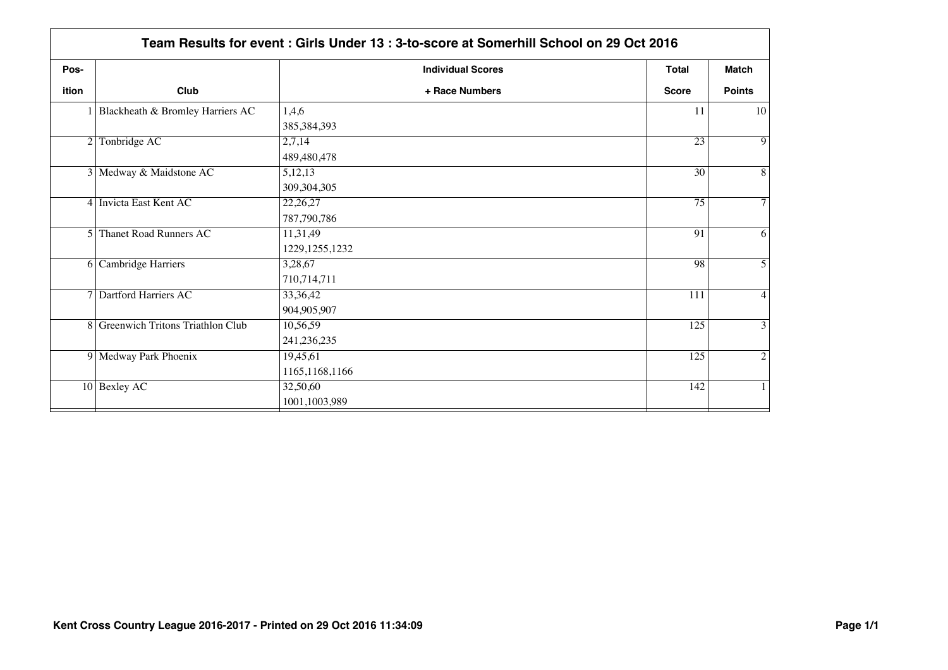| ition | Club<br>1 Blackheath & Bromley Harriers AC | + Race Numbers   |              | <b>Match</b><br><b>Points</b><br>10<br>$\overline{9}$ |
|-------|--------------------------------------------|------------------|--------------|-------------------------------------------------------|
|       |                                            |                  | <b>Score</b> |                                                       |
|       |                                            | 1,4,6            | 11           |                                                       |
|       |                                            | 385,384,393      |              |                                                       |
|       | 2 Tonbridge AC                             | 2,7,14           | 23           |                                                       |
|       |                                            | 489,480,478      |              |                                                       |
|       | 3 Medway & Maidstone AC                    | 5,12,13          | 30           | $\overline{8}$                                        |
|       |                                            | 309, 304, 305    |              |                                                       |
|       | 4 Invicta East Kent AC                     | 22,26,27         | 75           | $\tau$                                                |
|       |                                            | 787,790,786      |              |                                                       |
|       | 5 Thanet Road Runners AC                   | 11,31,49         | 91           | $\overline{6}$                                        |
|       |                                            | 1229, 1255, 1232 |              |                                                       |
|       | 6 Cambridge Harriers                       | 3,28,67          | 98           | 5                                                     |
|       |                                            | 710,714,711      |              |                                                       |
|       | 7 Dartford Harriers AC                     | 33, 36, 42       | 111          | $\overline{4}$                                        |
|       |                                            | 904,905,907      |              |                                                       |
|       | 8 Greenwich Tritons Triathlon Club         | 10,56,59         | 125          | $\overline{3}$                                        |
|       |                                            | 241, 236, 235    |              |                                                       |
|       | 9 Medway Park Phoenix                      | 19,45,61         | 125          | $\overline{2}$                                        |
|       |                                            | 1165, 1168, 1166 |              |                                                       |
|       | $10$ Bexley AC                             | 32,50,60         | 142          | $\mathbf{1}$                                          |
|       |                                            | 1001,1003,989    |              |                                                       |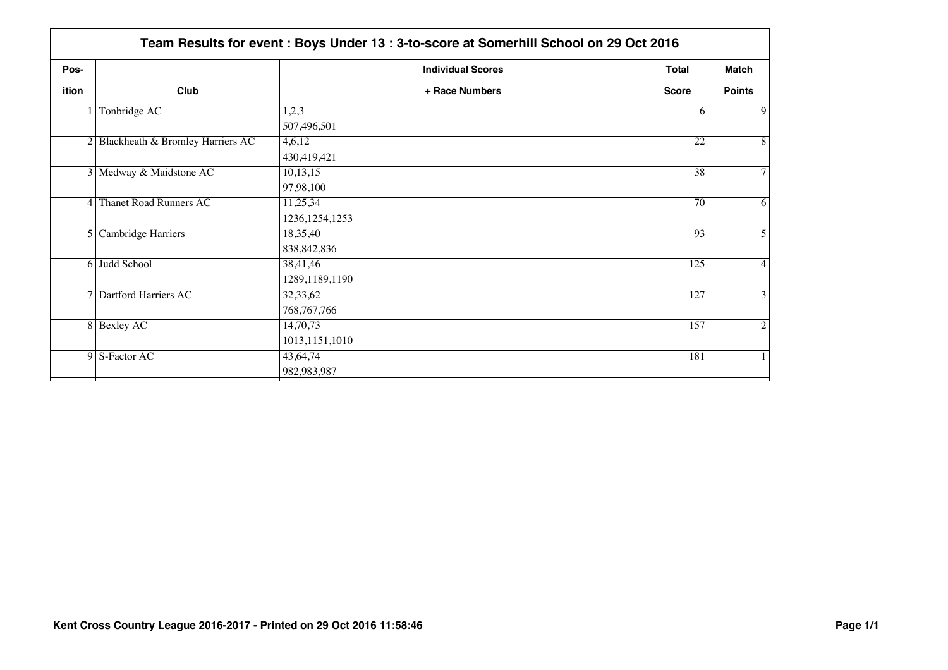| Pos-  |                                    | <b>Individual Scores</b> | Total           | Match          |
|-------|------------------------------------|--------------------------|-----------------|----------------|
| ition | Club                               | + Race Numbers           | <b>Score</b>    | <b>Points</b>  |
|       | Tonbridge AC                       | 1,2,3                    | 6               | 9              |
|       |                                    | 507,496,501              |                 |                |
|       | 2 Blackheath & Bromley Harriers AC | 4,6,12                   | 22              | 8              |
|       |                                    | 430,419,421              |                 |                |
|       | 3 Medway & Maidstone AC            | 10,13,15                 | 38              | 7              |
|       |                                    | 97,98,100                |                 |                |
|       | 4 Thanet Road Runners AC           | 11,25,34                 | $\overline{70}$ | 6              |
|       |                                    | 1236, 1254, 1253         |                 |                |
|       | 5 Cambridge Harriers               | 18,35,40                 | 93              | 5              |
|       |                                    | 838, 842, 836            |                 |                |
|       | 6 Judd School                      | 38,41,46                 | 125             | 4              |
|       |                                    | 1289,1189,1190           |                 |                |
|       | 7 Dartford Harriers AC             | 32,33,62                 | 127             | 3              |
|       |                                    | 768, 767, 766            |                 |                |
|       | 8 Bexley AC                        | 14,70,73                 | 157             | $\overline{c}$ |
|       |                                    | 1013,1151,1010           |                 |                |
|       | 9 S-Factor AC                      | 43,64,74                 | 181             | $\mathbf{1}$   |
|       |                                    | 982,983,987              |                 |                |
|       |                                    |                          |                 |                |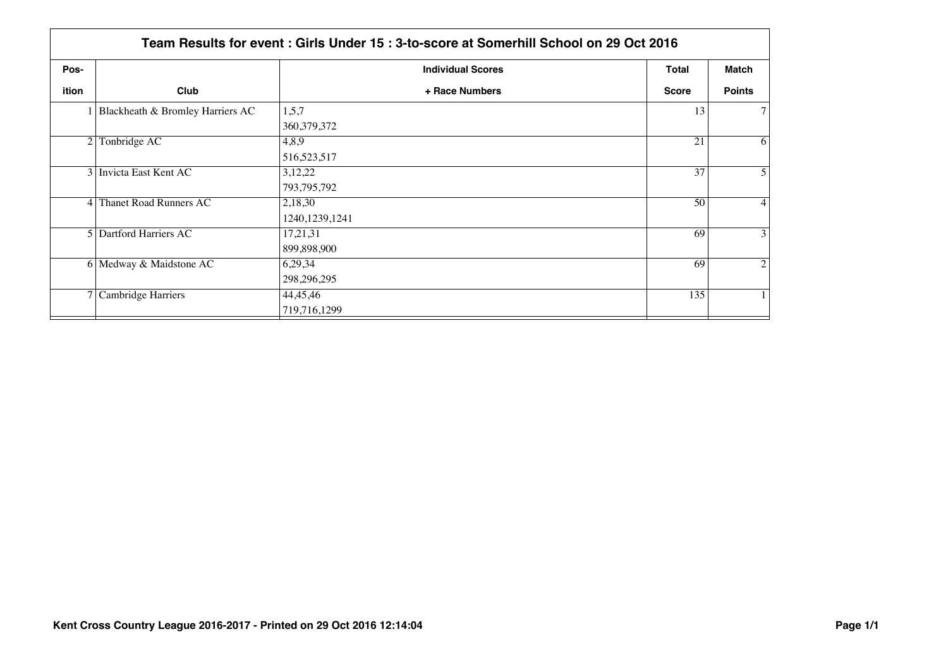|                | Team Results for event: Girls Under 15: 3-to-score at Somerhill School on 29 Oct 2016 |                          |              |                |  |  |
|----------------|---------------------------------------------------------------------------------------|--------------------------|--------------|----------------|--|--|
| Pos-           |                                                                                       | <b>Individual Scores</b> | Total        | Match          |  |  |
| ition          | Club                                                                                  | + Race Numbers           | <b>Score</b> | <b>Points</b>  |  |  |
|                | 1 Blackheath & Bromley Harriers AC                                                    | 1,5,7                    | 13           | $\tau$         |  |  |
|                |                                                                                       | 360, 379, 372            |              |                |  |  |
| $\overline{2}$ | Tonbridge AC                                                                          | 4,8,9                    | 21           | 6              |  |  |
|                |                                                                                       | 516,523,517              |              |                |  |  |
|                | 3 Invicta East Kent AC                                                                | 3,12,22                  | 37           | 5              |  |  |
|                |                                                                                       | 793,795,792              |              |                |  |  |
|                | 4 Thanet Road Runners AC                                                              | 2,18,30                  | 50           | $\overline{4}$ |  |  |
|                |                                                                                       | 1240, 1239, 1241         |              |                |  |  |
|                | 5 Dartford Harriers AC                                                                | 17,21,31                 | 69           | 3              |  |  |
|                |                                                                                       | 899,898,900              |              |                |  |  |
|                | 6 Medway & Maidstone AC                                                               | 6,29,34                  | 69           | $\overline{2}$ |  |  |
|                |                                                                                       | 298, 296, 295            |              |                |  |  |
|                | 7 Cambridge Harriers                                                                  | 44,45,46                 | 135          | $\mathbf{1}$   |  |  |
|                |                                                                                       | 719,716,1299             |              |                |  |  |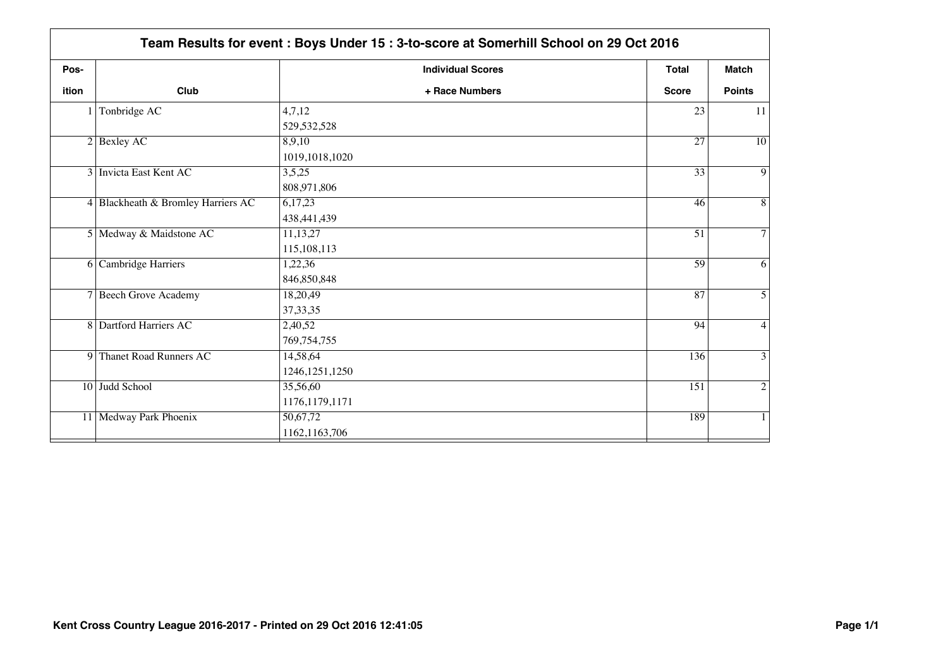| Pos-  |                                    | <b>Individual Scores</b> | <b>Total</b>    | <b>Match</b>    |
|-------|------------------------------------|--------------------------|-----------------|-----------------|
| ition | Club                               | + Race Numbers           | <b>Score</b>    | <b>Points</b>   |
|       | Tonbridge AC                       | 4,7,12                   | 23              | 11              |
|       |                                    | 529, 532, 528            |                 |                 |
|       | $2$ Bexley AC                      | 8,9,10                   | $\overline{27}$ | $\overline{10}$ |
|       |                                    | 1019,1018,1020           |                 |                 |
|       | 3 Invicta East Kent AC             | 3,5,25                   | $\overline{33}$ | $\overline{9}$  |
|       |                                    | 808,971,806              |                 |                 |
|       | 4 Blackheath & Bromley Harriers AC | 6,17,23                  | 46              | 8               |
|       |                                    | 438, 441, 439            |                 |                 |
|       | 5 Medway & Maidstone AC            | 11,13,27                 | $\overline{51}$ | $\overline{7}$  |
|       |                                    | 115, 108, 113            |                 |                 |
|       | 6 Cambridge Harriers               | 1,22,36                  | 59              | 6               |
|       |                                    | 846,850,848              |                 |                 |
|       | 7 Beech Grove Academy              | 18,20,49                 | 87              | 5               |
|       |                                    | 37, 33, 35               |                 |                 |
|       | 8 Dartford Harriers AC             | 2,40,52                  | 94              | 4               |
|       |                                    | 769,754,755              |                 |                 |
|       | 9 Thanet Road Runners AC           | 14,58,64                 | 136             | 3               |
|       |                                    | 1246, 1251, 1250         |                 |                 |
|       | 10 Judd School                     | 35,56,60                 | 151             | $\overline{2}$  |
|       |                                    | 1176,1179,1171           |                 |                 |
|       | 11 Medway Park Phoenix             | 50,67,72                 | 189             | 1               |
|       |                                    | 1162, 1163, 706          |                 |                 |
|       |                                    |                          |                 |                 |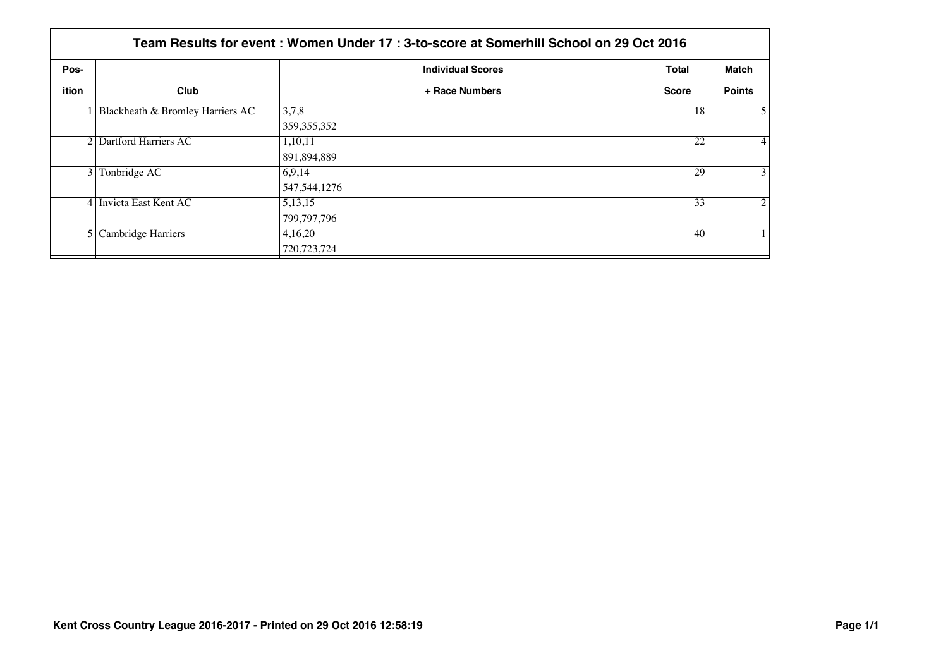|       | Team Results for event: Women Under 17: 3-to-score at Somerhill School on 29 Oct 2016 |                          |              |                   |  |  |
|-------|---------------------------------------------------------------------------------------|--------------------------|--------------|-------------------|--|--|
| Pos-  |                                                                                       | <b>Individual Scores</b> | <b>Total</b> | Match             |  |  |
| ition | Club                                                                                  | + Race Numbers           | Score        | <b>Points</b>     |  |  |
|       | 1 Blackheath & Bromley Harriers AC                                                    | 3,7,8<br>359, 355, 352   | 18           | 5 <sup>1</sup>    |  |  |
|       | 2 Dartford Harriers AC                                                                | 1,10,11<br>891,894,889   | 22           | $\vert 4 \vert$   |  |  |
|       | 3 Tonbridge AC                                                                        | 6.9,14<br>547, 544, 1276 | 29           | $\lvert 3 \rvert$ |  |  |
|       | 4 Invicta East Kent AC                                                                | 5, 13, 15<br>799,797,796 | 33           | $\overline{2}$    |  |  |
|       | 5 Cambridge Harriers                                                                  | 4,16,20<br>720, 723, 724 | 40           |                   |  |  |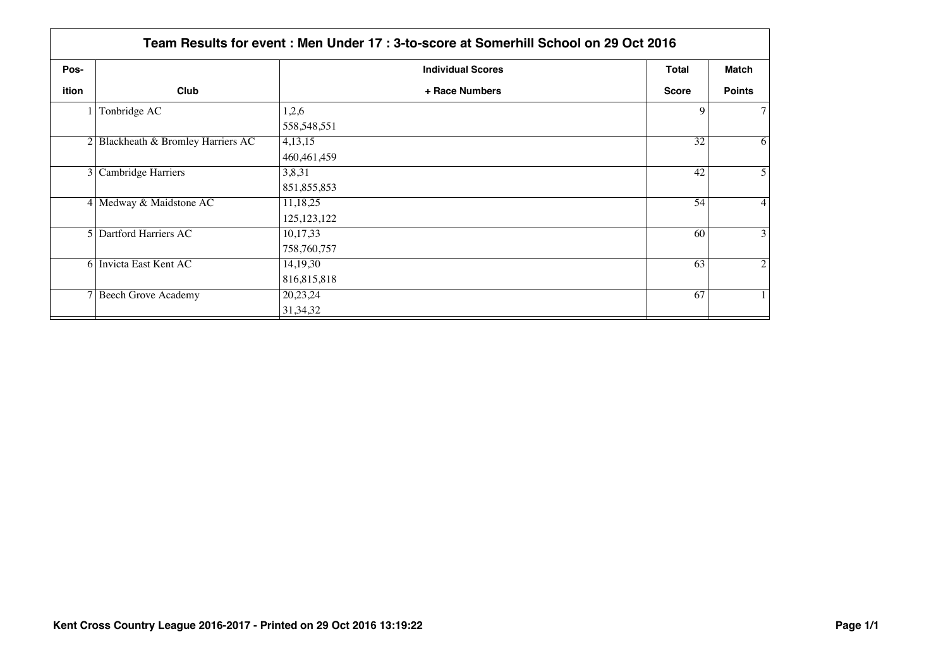|       | Team Results for event: Men Under 17: 3-to-score at Somerhill School on 29 Oct 2016 |                          |                 |                |  |  |
|-------|-------------------------------------------------------------------------------------|--------------------------|-----------------|----------------|--|--|
| Pos-  |                                                                                     | <b>Individual Scores</b> | <b>Total</b>    | Match          |  |  |
| ition | Club                                                                                | + Race Numbers           | <b>Score</b>    | <b>Points</b>  |  |  |
|       | 1 Tonbridge AC                                                                      | 1,2,6                    | 9               | 7              |  |  |
|       |                                                                                     | 558, 548, 551            |                 |                |  |  |
|       | 2 Blackheath & Bromley Harriers AC                                                  | 4,13,15                  | $3\overline{2}$ | 6              |  |  |
|       |                                                                                     | 460, 461, 459            |                 |                |  |  |
|       | 3 Cambridge Harriers                                                                | 3,8,31                   | 42              | 5              |  |  |
|       |                                                                                     | 851, 855, 853            |                 |                |  |  |
|       | 4 Medway & Maidstone AC                                                             | 11,18,25                 | 54              | $\overline{4}$ |  |  |
|       |                                                                                     | 125, 123, 122            |                 |                |  |  |
|       | 5 Dartford Harriers AC                                                              | 10,17,33                 | 60              | 3              |  |  |
|       |                                                                                     | 758,760,757              |                 |                |  |  |
|       | 6 Invicta East Kent AC                                                              | 14, 19, 30               | 63              | $\overline{2}$ |  |  |
|       |                                                                                     | 816,815,818              |                 |                |  |  |
|       | 7 Beech Grove Academy                                                               | 20,23,24                 | 67              |                |  |  |
|       |                                                                                     | 31, 34, 32               |                 |                |  |  |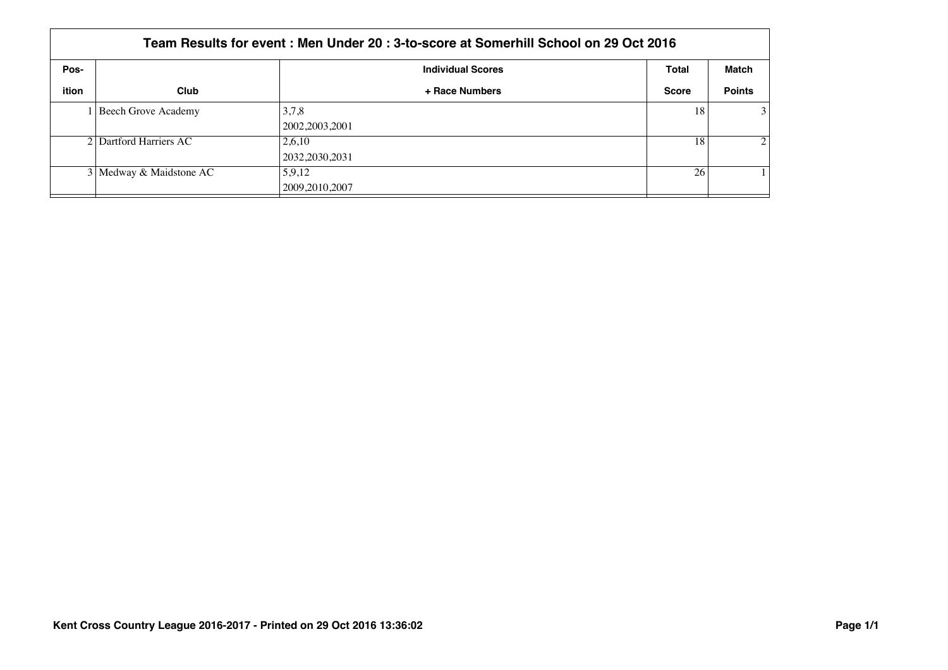|       | Team Results for event : Men Under 20 : 3-to-score at Somerhill School on 29 Oct 2016 |                            |              |                             |  |  |
|-------|---------------------------------------------------------------------------------------|----------------------------|--------------|-----------------------------|--|--|
| Pos-  |                                                                                       | <b>Individual Scores</b>   | Total        | Match                       |  |  |
| ition | Club                                                                                  | + Race Numbers             | <b>Score</b> | <b>Points</b>               |  |  |
|       | Beech Grove Academy                                                                   | 3,7,8<br>2002, 2003, 2001  | 18           | 3                           |  |  |
|       | 2 Dartford Harriers AC                                                                | 2,6,10<br>2032, 2030, 2031 | 18           | $\mathcal{D}_{\mathcal{L}}$ |  |  |
|       | 3 Medway & Maidstone AC                                                               | 5,9,12<br>2009, 2010, 2007 | 26           |                             |  |  |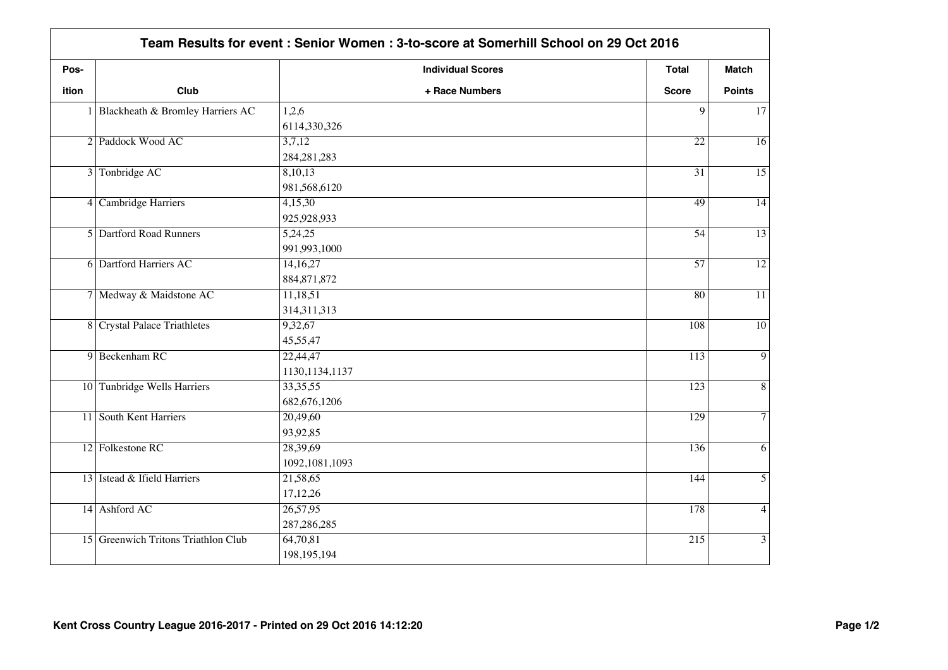| Pos-         |                                     | <b>Individual Scores</b> | Total            | <b>Match</b>    |
|--------------|-------------------------------------|--------------------------|------------------|-----------------|
| <b>ition</b> | Club                                | + Race Numbers           | <b>Score</b>     | <b>Points</b>   |
|              | 1 Blackheath & Bromley Harriers AC  | 1,2,6                    | 9                | 17              |
|              |                                     | 6114,330,326             |                  |                 |
|              | 2 Paddock Wood AC                   | 3,7,12                   | $\overline{22}$  | $\overline{16}$ |
|              |                                     | 284, 281, 283            |                  |                 |
|              | 3 Tonbridge AC                      | 8,10,13                  | $\overline{31}$  | $\overline{15}$ |
|              |                                     | 981,568,6120             |                  |                 |
|              | 4 Cambridge Harriers                | 4,15,30                  | 49               | $\overline{14}$ |
|              |                                     | 925,928,933              |                  |                 |
|              | 5 Dartford Road Runners             | 5,24,25                  | 54               | $\overline{13}$ |
|              |                                     | 991,993,1000             |                  |                 |
|              | <b>6</b> Dartford Harriers AC       | 14,16,27                 | $\overline{57}$  | $\overline{12}$ |
|              |                                     | 884, 871, 872            |                  |                 |
|              | 7 Medway & Maidstone AC             | 11,18,51                 | $\overline{80}$  | $\overline{11}$ |
|              |                                     | 314,311,313              |                  |                 |
|              | 8 Crystal Palace Triathletes        | 9,32,67                  | 108              | $\overline{10}$ |
|              |                                     | 45,55,47                 |                  |                 |
|              | 9 Beckenham RC                      | 22,44,47                 | 113              | $\overline{9}$  |
|              |                                     | 1130, 1134, 1137         |                  |                 |
|              | 10 Tunbridge Wells Harriers         | 33, 35, 55               | 123              | $\overline{8}$  |
|              |                                     | 682, 676, 1206           |                  |                 |
|              | 11 South Kent Harriers              | 20,49,60                 | 129              | $\overline{7}$  |
|              |                                     | 93,92,85                 |                  |                 |
|              | 12 Folkestone RC                    | 28,39,69                 | 136              | 6               |
|              |                                     | 1092, 1081, 1093         |                  |                 |
|              | 13 Istead & Ifield Harriers         | 21,58,65                 | 144              | $\overline{5}$  |
|              |                                     | 17,12,26                 |                  |                 |
|              | 14 Ashford AC                       | 26,57,95                 | 178              | $\overline{4}$  |
|              |                                     | 287, 286, 285            |                  |                 |
|              | 15 Greenwich Tritons Triathlon Club | 64,70,81                 | $\overline{215}$ | 3               |
|              |                                     | 198, 195, 194            |                  |                 |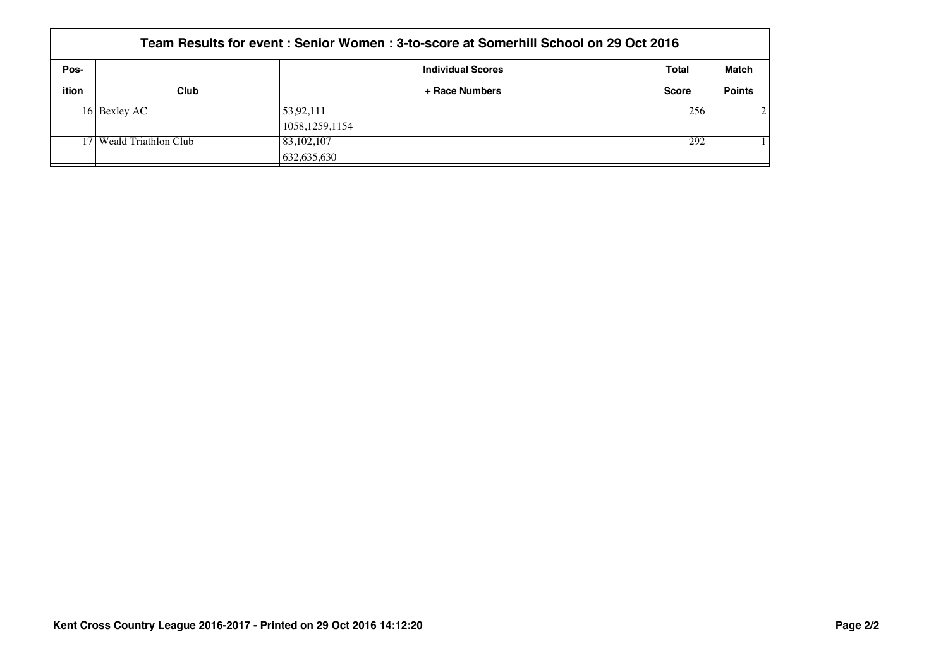| Team Results for event: Senior Women: 3-to-score at Somerhill School on 29 Oct 2016 |                           |                          |              |                |  |
|-------------------------------------------------------------------------------------|---------------------------|--------------------------|--------------|----------------|--|
| Pos-                                                                                |                           | <b>Individual Scores</b> | Total        | Match          |  |
| ition                                                                               | Club                      | + Race Numbers           | <b>Score</b> | <b>Points</b>  |  |
|                                                                                     | 16 Bexley AC              | 53,92,111                | 256          | $\mathfrak{D}$ |  |
|                                                                                     |                           | 1058, 1259, 1154         |              |                |  |
|                                                                                     | 17   Weald Triathlon Club | 83,102,107               | 292          |                |  |
|                                                                                     |                           | 632,635,630              |              |                |  |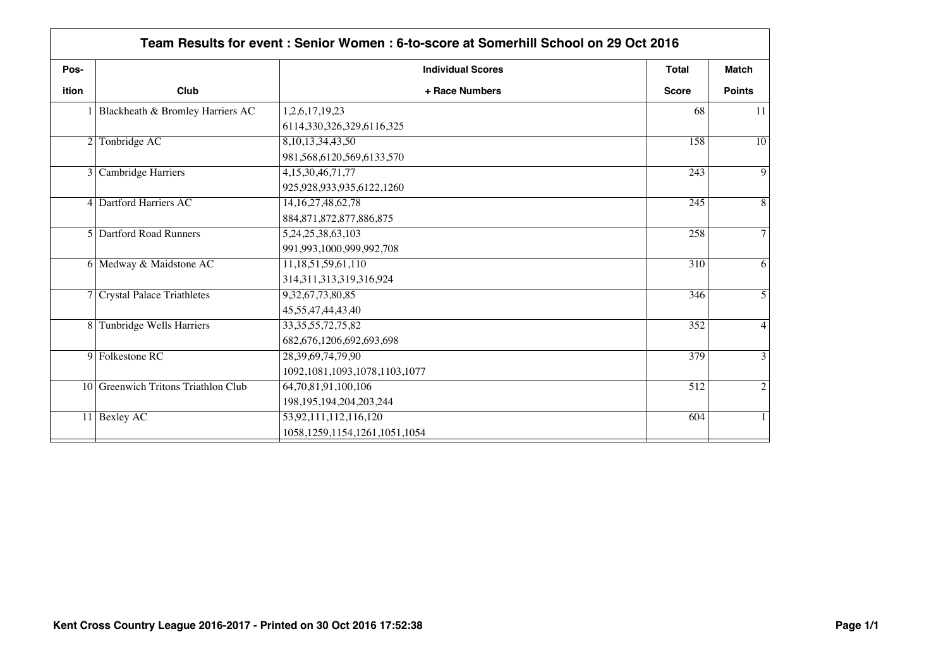| Pos-           |                                              | <b>Individual Scores</b>           | Total        | <b>Match</b>   |
|----------------|----------------------------------------------|------------------------------------|--------------|----------------|
| ition          | Club                                         | + Race Numbers                     | <b>Score</b> | <b>Points</b>  |
|                | Blackheath & Bromley Harriers AC             | 1,2,6,17,19,23                     | 68           | 11             |
|                |                                              | 6114,330,326,329,6116,325          |              |                |
| $\overline{2}$ | Tonbridge AC                                 | 8, 10, 13, 34, 43, 50              | 158          | 10             |
|                |                                              | 981,568,6120,569,6133,570          |              |                |
|                | 3 Cambridge Harriers                         | 4, 15, 30, 46, 71, 77              | 243          | 9              |
|                |                                              | 925,928,933,935,6122,1260          |              |                |
|                | 4 Dartford Harriers AC                       | 14, 16, 27, 48, 62, 78             | 245          | 8              |
|                |                                              | 884, 871, 872, 877, 886, 875       |              |                |
|                | 5 Dartford Road Runners<br>5,24,25,38,63,103 | 258                                | 7            |                |
|                |                                              | 991,993,1000,999,992,708           |              |                |
|                | 6 Medway & Maidstone AC                      | 11,18,51,59,61,110                 | 310          | 6              |
|                |                                              | 314, 311, 313, 319, 316, 924       |              |                |
|                | 7 Crystal Palace Triathletes                 | 9,32,67,73,80,85                   | 346          | 5              |
|                |                                              | 45,55,47,44,43,40                  |              |                |
|                | 8 Tunbridge Wells Harriers                   | 33, 35, 55, 72, 75, 82             | 352          | 4              |
|                |                                              | 682,676,1206,692,693,698           |              |                |
|                | 9 Folkestone RC                              | 28, 39, 69, 74, 79, 90             | 379          | 3              |
|                |                                              | 1092, 1081, 1093, 1078, 1103, 1077 |              |                |
|                | 10 Greenwich Tritons Triathlon Club          | 64, 70, 81, 91, 100, 106           | 512          | $\overline{2}$ |
|                |                                              | 198, 195, 194, 204, 203, 244       |              |                |
|                | 11 Bexley AC                                 | 53,92,111,112,116,120              | 604          | 1              |
|                |                                              | 1058, 1259, 1154, 1261, 1051, 1054 |              |                |
|                |                                              |                                    |              |                |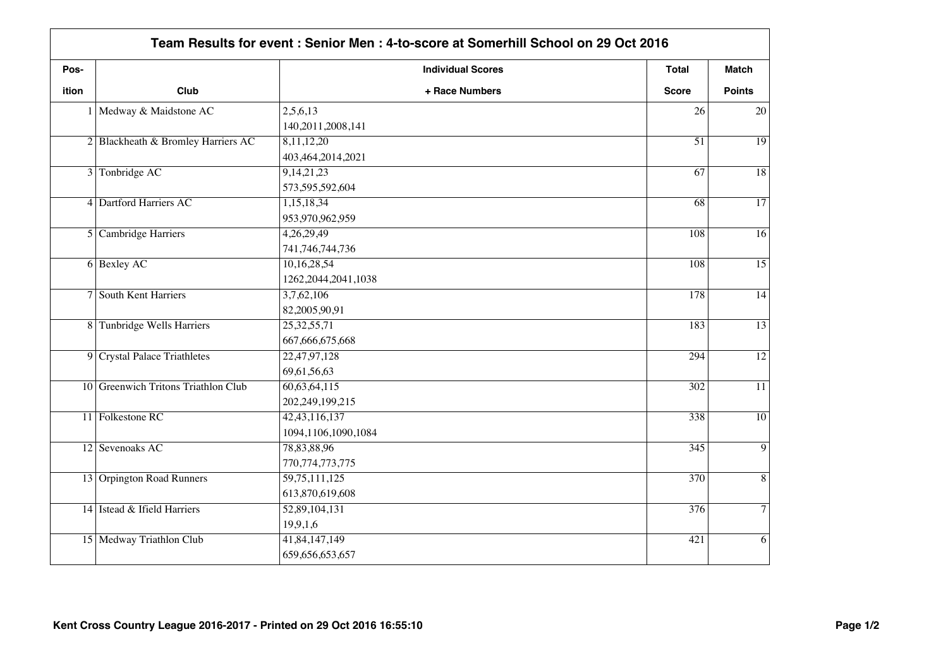| Pos-         |                                     | <b>Individual Scores</b> | Total            | <b>Match</b>    |
|--------------|-------------------------------------|--------------------------|------------------|-----------------|
| <b>ition</b> | Club                                | + Race Numbers           | <b>Score</b>     | <b>Points</b>   |
|              | 1 Medway & Maidstone AC             | 2,5,6,13                 | 26               | 20              |
|              |                                     | 140,2011,2008,141        |                  |                 |
|              | 2 Blackheath & Bromley Harriers AC  | 8,11,12,20               | $\overline{51}$  | $\overline{19}$ |
|              |                                     | 403,464,2014,2021        |                  |                 |
|              | 3 Tonbridge AC                      | 9,14,21,23               | $\overline{67}$  | $\overline{18}$ |
|              |                                     | 573,595,592,604          |                  |                 |
|              | 4 Dartford Harriers AC              | 1,15,18,34               | $\overline{68}$  | $\overline{17}$ |
|              |                                     | 953,970,962,959          |                  |                 |
|              | 5 Cambridge Harriers                | 4,26,29,49               | 108              | $\overline{16}$ |
|              |                                     | 741, 746, 744, 736       |                  |                 |
|              | 6 Bexley AC                         | 10,16,28,54              | 108              | $\overline{15}$ |
|              |                                     | 1262, 2044, 2041, 1038   |                  |                 |
|              | 7 South Kent Harriers               | 3,7,62,106               | 178              | $\overline{14}$ |
|              |                                     | 82,2005,90,91            |                  |                 |
|              | 8 Tunbridge Wells Harriers          | 25, 32, 55, 71           | 183              | $\overline{13}$ |
|              |                                     | 667, 666, 675, 668       |                  |                 |
|              | 9 Crystal Palace Triathletes        | 22,47,97,128             | 294              | $\overline{12}$ |
|              |                                     | 69,61,56,63              |                  |                 |
|              | 10 Greenwich Tritons Triathlon Club | 60,63,64,115             | 302              | $\overline{11}$ |
|              |                                     | 202,249,199,215          |                  |                 |
|              | 11 Folkestone RC                    | 42, 43, 116, 137         | 338              | $\overline{10}$ |
|              |                                     | 1094,1106,1090,1084      |                  |                 |
|              | 12 Sevenoaks AC                     | 78,83,88,96              | $\overline{345}$ | 9               |
|              |                                     | 770, 774, 773, 775       |                  |                 |
|              | 13 Orpington Road Runners           | 59,75,111,125            | 370              | $\overline{8}$  |
|              |                                     | 613,870,619,608          |                  |                 |
|              | 14 Istead & Ifield Harriers         | 52,89,104,131            | $\overline{376}$ | $\overline{7}$  |
|              |                                     | 19,9,1,6                 |                  |                 |
|              | 15 Medway Triathlon Club            | 41,84,147,149            | 421              | 6               |
|              |                                     | 659,656,653,657          |                  |                 |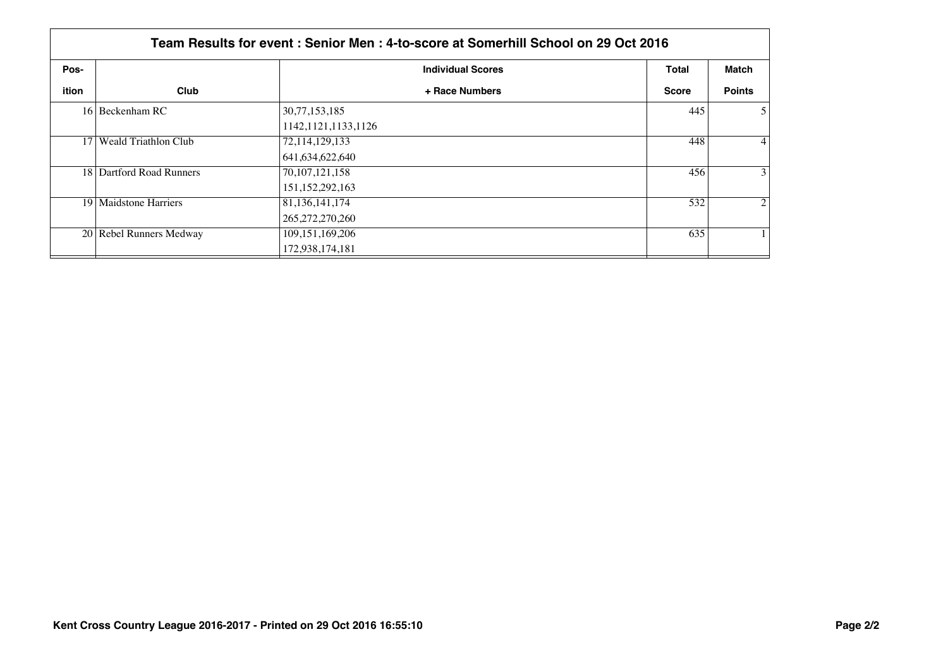|       | Team Results for event : Senior Men : 4-to-score at Somerhill School on 29 Oct 2016 |                          |              |                |  |  |
|-------|-------------------------------------------------------------------------------------|--------------------------|--------------|----------------|--|--|
| Pos-  |                                                                                     | <b>Individual Scores</b> | <b>Total</b> | Match          |  |  |
| ition | Club                                                                                | + Race Numbers           | <b>Score</b> | <b>Points</b>  |  |  |
|       | 16 Beckenham RC                                                                     | 30,77,153,185            | 445          | $\mathfrak{H}$ |  |  |
|       |                                                                                     | 1142, 1121, 1133, 1126   |              |                |  |  |
|       | 17 Weald Triathlon Club                                                             | 72,114,129,133           | 448          | $\vert$        |  |  |
|       |                                                                                     | 641, 634, 622, 640       |              |                |  |  |
|       | 18 Dartford Road Runners                                                            | 70, 107, 121, 158        | 456          | $\overline{3}$ |  |  |
|       |                                                                                     | 151, 152, 292, 163       |              |                |  |  |
|       | 19   Maidstone Harriers                                                             | 81, 136, 141, 174        | 532          | $\overline{2}$ |  |  |
|       |                                                                                     | 265, 272, 270, 260       |              |                |  |  |
|       | 20 Rebel Runners Medway                                                             | 109, 151, 169, 206       | 635          |                |  |  |
|       |                                                                                     | 172,938,174,181          |              |                |  |  |